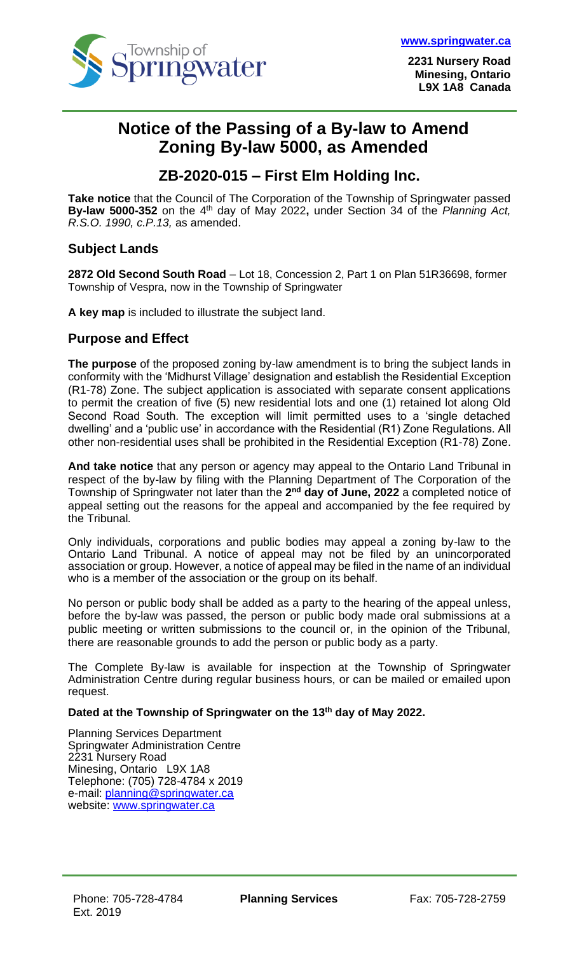

**2231 Nursery Road Minesing, Ontario L9X 1A8 Canada**

## **Notice of the Passing of a By-law to Amend Zoning By-law 5000, as Amended**

## **ZB-2020-015 – First Elm Holding Inc.**

**Take notice** that the Council of The Corporation of the Township of Springwater passed **By-law 5000-352** on the 4 th day of May 2022**,** under Section 34 of the *Planning Act, R.S.O. 1990, c.P.13,* as amended.

### **Subject Lands**

**2872 Old Second South Road** – Lot 18, Concession 2, Part 1 on Plan 51R36698, former Township of Vespra, now in the Township of Springwater

**A key map** is included to illustrate the subject land.

#### **Purpose and Effect**

**The purpose** of the proposed zoning by-law amendment is to bring the subject lands in conformity with the 'Midhurst Village' designation and establish the Residential Exception (R1-78) Zone. The subject application is associated with separate consent applications to permit the creation of five (5) new residential lots and one (1) retained lot along Old Second Road South. The exception will limit permitted uses to a 'single detached dwelling' and a 'public use' in accordance with the Residential (R1) Zone Regulations. All other non-residential uses shall be prohibited in the Residential Exception (R1-78) Zone.

**And take notice** that any person or agency may appeal to the Ontario Land Tribunal in respect of the by-law by filing with the Planning Department of The Corporation of the Township of Springwater not later than the 2<sup>nd</sup> day of June, 2022 a completed notice of appeal setting out the reasons for the appeal and accompanied by the fee required by the Tribunal*.*

Only individuals, corporations and public bodies may appeal a zoning by-law to the Ontario Land Tribunal. A notice of appeal may not be filed by an unincorporated association or group. However, a notice of appeal may be filed in the name of an individual who is a member of the association or the group on its behalf.

No person or public body shall be added as a party to the hearing of the appeal unless, before the by-law was passed, the person or public body made oral submissions at a public meeting or written submissions to the council or, in the opinion of the Tribunal, there are reasonable grounds to add the person or public body as a party.

The Complete By-law is available for inspection at the Township of Springwater Administration Centre during regular business hours, or can be mailed or emailed upon request.

#### **Dated at the Township of Springwater on the 13 th day of May 2022.**

Planning Services Department Springwater Administration Centre 2231 Nursery Road Minesing, Ontario L9X 1A8 Telephone: (705) 728-4784 x 2019 e-mail: [planning@springwater.ca](mailto:planning@springwater.ca) website: www.springwater.ca